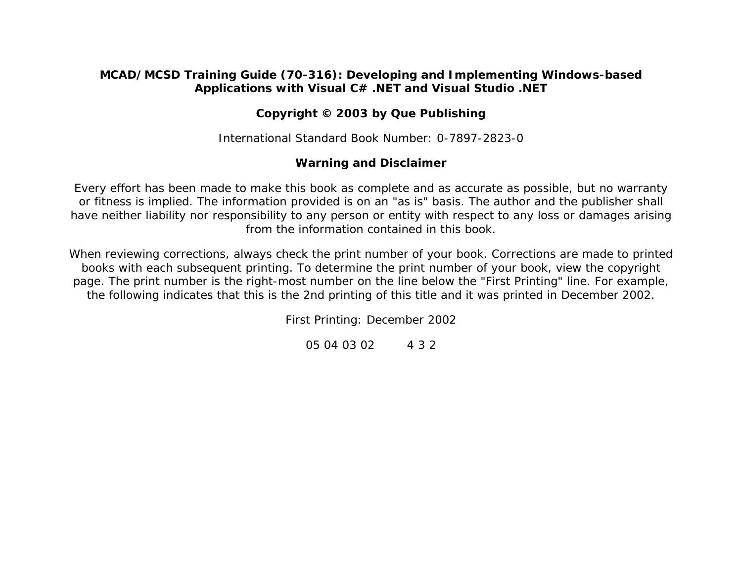#### **MCAD/MCSD Training Guide (70-316): Developing and Implementing Windows-based Applications with Visual C# .NET and Visual Studio .NET**

### **Copyright © 2003 by Que Publishing**

International Standard Book Number: 0-7897-2823-0

#### **Warning and Disclaimer**

Every effort has been made to make this book as complete and as accurate as possible, but no warranty or fitness is implied. The information provided is on an "as is" basis. The author and the publisher shall have neither liability nor responsibility to any person or entity with respect to any loss or damages arising from the information contained in this book.

When reviewing corrections, always check the print number of your book. Corrections are made to printed books with each subsequent printing. To determine the print number of your book, view the copyright page. The print number is the right-most number on the line below the "First Printing" line. For example, the following indicates that this is the 2nd printing of this title and it was printed in December 2002.

*First Printing: December 2002* 

*05 04 03 02 4 3 2*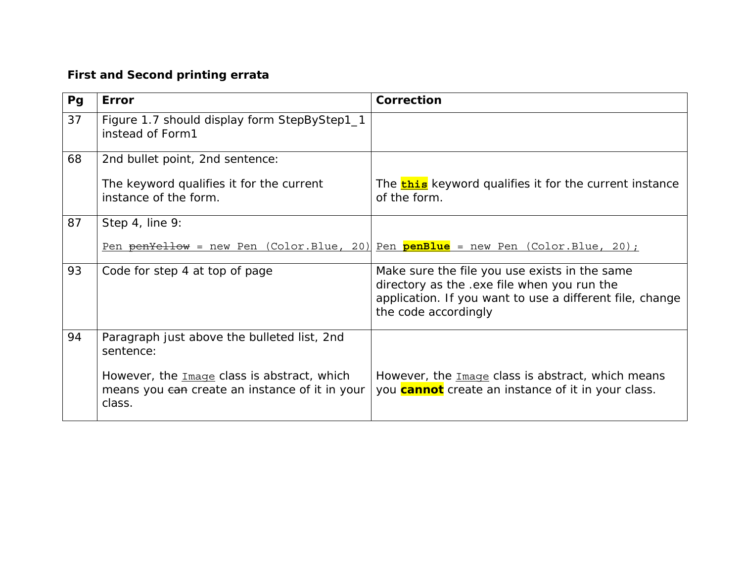## **First and Second printing errata**

| Pg | <b>Error</b>                                                                                            | Correction                                                                                                                                                                       |
|----|---------------------------------------------------------------------------------------------------------|----------------------------------------------------------------------------------------------------------------------------------------------------------------------------------|
| 37 | Figure 1.7 should display form StepByStep1_1<br>instead of Form1                                        |                                                                                                                                                                                  |
| 68 | 2nd bullet point, 2nd sentence:                                                                         |                                                                                                                                                                                  |
|    | The keyword qualifies it for the current<br>instance of the form.                                       | The <b>this</b> keyword qualifies it for the current instance<br>of the form.                                                                                                    |
| 87 | Step 4, line 9:                                                                                         |                                                                                                                                                                                  |
|    |                                                                                                         | Pen penYellow = new Pen (Color.Blue, 20) Pen penBlue = new Pen (Color.Blue, 20);                                                                                                 |
| 93 | Code for step 4 at top of page                                                                          | Make sure the file you use exists in the same<br>directory as the .exe file when you run the<br>application. If you want to use a different file, change<br>the code accordingly |
| 94 | Paragraph just above the bulleted list, 2nd<br>sentence:                                                |                                                                                                                                                                                  |
|    | However, the Image class is abstract, which<br>means you can create an instance of it in your<br>class. | However, the Image class is abstract, which means<br>you <b>cannot</b> create an instance of it in your class.                                                                   |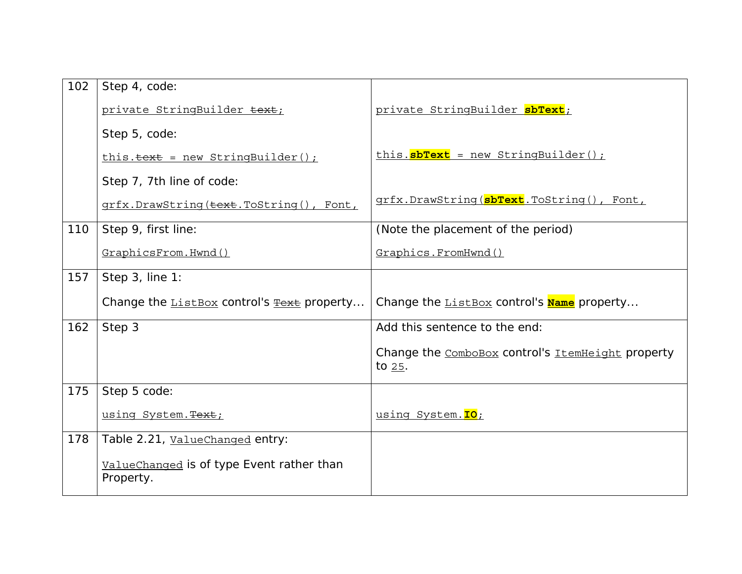| 102 | Step 4, code:                                          |                                                                |
|-----|--------------------------------------------------------|----------------------------------------------------------------|
|     | private StringBuilder text;                            | private StringBuilder sbText;                                  |
|     | Step 5, code:                                          |                                                                |
|     | $this. \ttext{text} = new StringBuilder()$ ;           | this. sbText = new StringBuilder();                            |
|     | Step 7, 7th line of code:                              |                                                                |
|     | grfx.DrawString(text.ToString(), Font,                 | grfx.DrawString(sbText.ToString(), Font,                       |
| 110 | Step 9, first line:                                    | (Note the placement of the period)                             |
|     | GraphicsFrom.Hwnd()                                    | Graphics.FromHwnd()                                            |
| 157 | Step 3, line 1:                                        |                                                                |
|     | Change the $ListBox$ control's $Text$ property         | Change the <b>ListBox</b> control's <b>Name</b> property       |
| 162 | Step 3                                                 | Add this sentence to the end:                                  |
|     |                                                        | Change the ComboBox control's ItemHeight property<br>to $25$ . |
| 175 | Step 5 code:                                           |                                                                |
|     | using System. Text;                                    | using System. IO;                                              |
| 178 | Table 2.21, ValueChanged entry:                        |                                                                |
|     | ValueChanged is of type Event rather than<br>Property. |                                                                |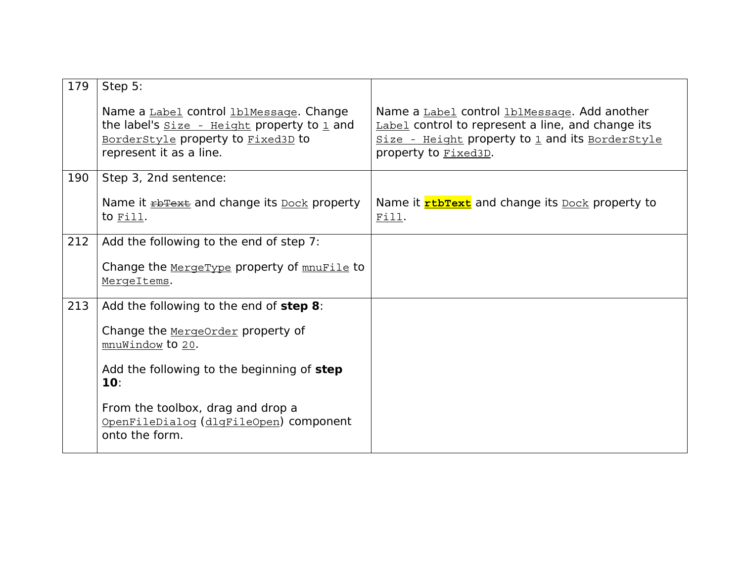| 179 | Step 5:                                                                                                                                                   |                                                                                                                                                                              |
|-----|-----------------------------------------------------------------------------------------------------------------------------------------------------------|------------------------------------------------------------------------------------------------------------------------------------------------------------------------------|
|     | Name a Label control lblMessage. Change<br>the label's $size -$ Height property to 1 and<br>BorderStyle property to Fixed3D to<br>represent it as a line. | Name a Label control lblMessage. Add another<br>Label control to represent a line, and change its<br>Size - Height property to 1 and its BorderStyle<br>property to Fixed3D. |
| 190 | Step 3, 2nd sentence:                                                                                                                                     |                                                                                                                                                                              |
|     | Name it <b>EDITE EXE</b> and change its <b>Dock</b> property<br>to $Fill.$                                                                                | Name it <b>rtbText</b> and change its <b>Dock</b> property to<br>Fill.                                                                                                       |
| 212 | Add the following to the end of step 7:                                                                                                                   |                                                                                                                                                                              |
|     | Change the MergeType property of mnuFile to<br>MergeItems.                                                                                                |                                                                                                                                                                              |
| 213 | Add the following to the end of step 8:                                                                                                                   |                                                                                                                                                                              |
|     | Change the MergeOrder property of<br>mnuWindow to 20.                                                                                                     |                                                                                                                                                                              |
|     | Add the following to the beginning of step<br>10:                                                                                                         |                                                                                                                                                                              |
|     | From the toolbox, drag and drop a<br>OpenFileDialog (dlgFileOpen) component<br>onto the form.                                                             |                                                                                                                                                                              |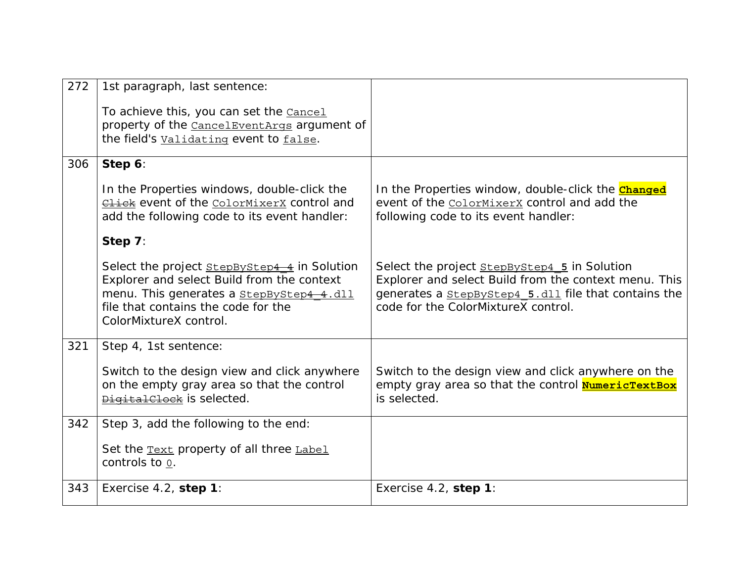| 272 | 1st paragraph, last sentence:                                                                                                                                                                                  |                                                                                                                                                                                                             |
|-----|----------------------------------------------------------------------------------------------------------------------------------------------------------------------------------------------------------------|-------------------------------------------------------------------------------------------------------------------------------------------------------------------------------------------------------------|
|     | To achieve this, you can set the <b>Cancel</b><br>property of the Cancel Event Args argument of<br>the field's <b>Validating</b> event to false.                                                               |                                                                                                                                                                                                             |
| 306 | Step 6:                                                                                                                                                                                                        |                                                                                                                                                                                                             |
|     | In the Properties windows, double-click the<br><b>Click</b> event of the ColorMixerX control and<br>add the following code to its event handler:                                                               | In the Properties window, double-click the <b>Changed</b><br>event of the ColorMixerX control and add the<br>following code to its event handler:                                                           |
|     | Step 7:                                                                                                                                                                                                        |                                                                                                                                                                                                             |
|     | Select the project <b>StepByStep4 4</b> in Solution<br>Explorer and select Build from the context<br>menu. This generates a StepByStep4 4.dll<br>file that contains the code for the<br>ColorMixtureX control. | Select the project <b>StepByStep4 5</b> in Solution<br>Explorer and select Build from the context menu. This<br>generates a stepByStep4 5.dll file that contains the<br>code for the ColorMixtureX control. |
| 321 | Step 4, 1st sentence:                                                                                                                                                                                          |                                                                                                                                                                                                             |
|     | Switch to the design view and click anywhere<br>on the empty gray area so that the control<br>DigitalClock is selected.                                                                                        | Switch to the design view and click anywhere on the<br>empty gray area so that the control <b>NumericTextBox</b><br>is selected.                                                                            |
| 342 | Step 3, add the following to the end:                                                                                                                                                                          |                                                                                                                                                                                                             |
|     | Set the <b>Text</b> property of all three Label<br>controls to $0$ .                                                                                                                                           |                                                                                                                                                                                                             |
| 343 | Exercise 4.2, step 1:                                                                                                                                                                                          | Exercise 4.2, step 1:                                                                                                                                                                                       |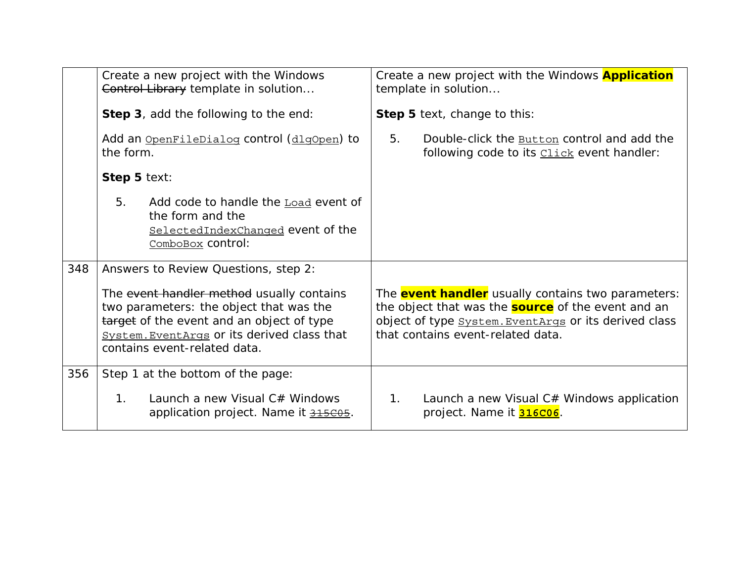|     | Create a new project with the Windows<br>Control Library template in solution<br><b>Step 3</b> , add the following to the end:                                                                                   | Create a new project with the Windows <b>Application</b><br>template in solution<br>Step 5 text, change to this:                                                                                                     |
|-----|------------------------------------------------------------------------------------------------------------------------------------------------------------------------------------------------------------------|----------------------------------------------------------------------------------------------------------------------------------------------------------------------------------------------------------------------|
|     | Add an OpenFileDialog control (dlgOpen) to<br>the form.                                                                                                                                                          | 5.<br>Double-click the <b>Button</b> control and add the<br>following code to its <b>Click</b> event handler:                                                                                                        |
|     | Step 5 text:                                                                                                                                                                                                     |                                                                                                                                                                                                                      |
|     | 5.<br>Add code to handle the Load event of<br>the form and the<br>SelectedIndexChanged event of the<br>ComboBox control:                                                                                         |                                                                                                                                                                                                                      |
| 348 | Answers to Review Questions, step 2:                                                                                                                                                                             |                                                                                                                                                                                                                      |
|     | The event handler method usually contains<br>two parameters: the object that was the<br>target of the event and an object of type<br>System. EventArqs or its derived class that<br>contains event-related data. | The <b>event handler</b> usually contains two parameters:<br>the object that was the <b>source</b> of the event and an<br>object of type System. EventArgs or its derived class<br>that contains event-related data. |
| 356 | Step 1 at the bottom of the page:                                                                                                                                                                                |                                                                                                                                                                                                                      |
|     | Launch a new Visual C# Windows<br>$1_{\cdot}$<br>application project. Name it 315C05.                                                                                                                            | 1 <sub>1</sub><br>Launch a new Visual C# Windows application<br>project. Name it <b>316C06</b> .                                                                                                                     |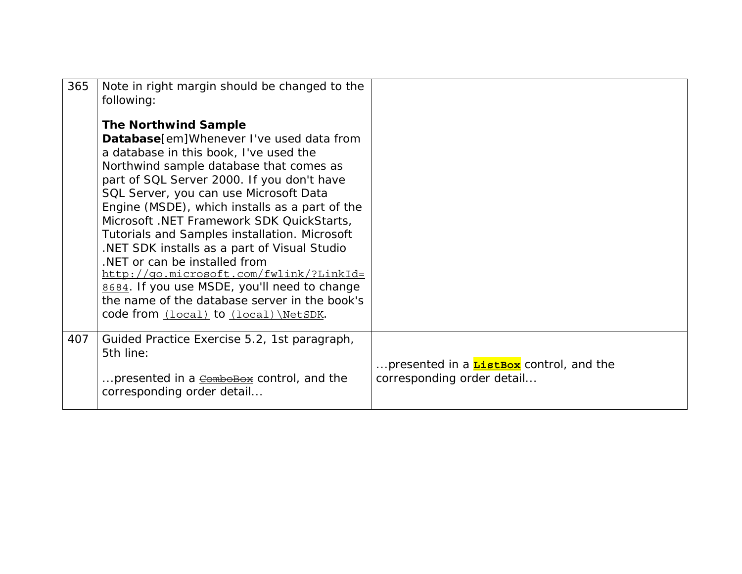| 365 | Note in right margin should be changed to the<br>following:<br><b>The Northwind Sample</b><br>Database[em]Whenever I've used data from<br>a database in this book, I've used the<br>Northwind sample database that comes as<br>part of SQL Server 2000. If you don't have<br>SQL Server, you can use Microsoft Data<br>Engine (MSDE), which installs as a part of the<br>Microsoft. NET Framework SDK QuickStarts,<br>Tutorials and Samples installation. Microsoft<br>NET SDK installs as a part of Visual Studio<br>.NET or can be installed from<br>http://qo.microsoft.com/fwlink/?LinkId=<br>8684. If you use MSDE, you'll need to change<br>the name of the database server in the book's<br>code from (local) to (local) \NetSDK. |                                                                              |
|-----|------------------------------------------------------------------------------------------------------------------------------------------------------------------------------------------------------------------------------------------------------------------------------------------------------------------------------------------------------------------------------------------------------------------------------------------------------------------------------------------------------------------------------------------------------------------------------------------------------------------------------------------------------------------------------------------------------------------------------------------|------------------------------------------------------------------------------|
| 407 | Guided Practice Exercise 5.2, 1st paragraph,<br>5th line:<br>presented in a combolox control, and the<br>corresponding order detail                                                                                                                                                                                                                                                                                                                                                                                                                                                                                                                                                                                                      | presented in a <b>ListBox</b> control, and the<br>corresponding order detail |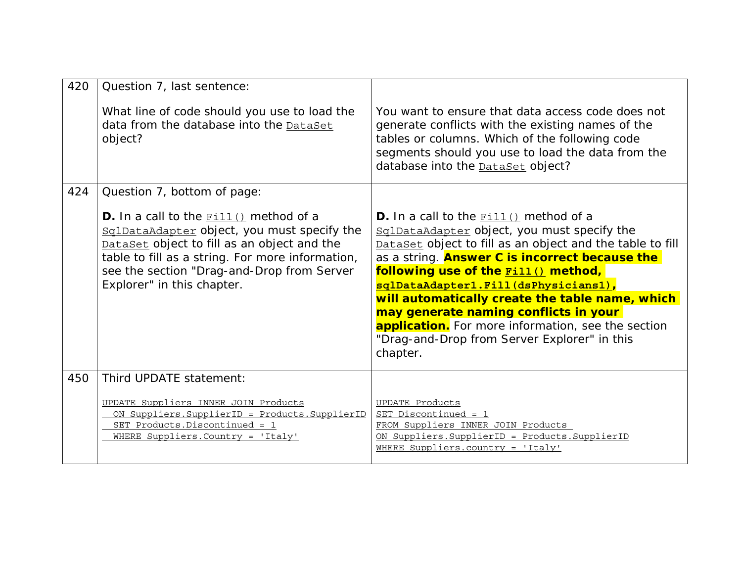| 420 | Question 7, last sentence:                                                                                                                                                                                                                                                    |                                                                                                                                                                                                                                                                                                                                                                                                                                                                                                                                 |
|-----|-------------------------------------------------------------------------------------------------------------------------------------------------------------------------------------------------------------------------------------------------------------------------------|---------------------------------------------------------------------------------------------------------------------------------------------------------------------------------------------------------------------------------------------------------------------------------------------------------------------------------------------------------------------------------------------------------------------------------------------------------------------------------------------------------------------------------|
|     | What line of code should you use to load the<br>data from the database into the DataSet<br>object?                                                                                                                                                                            | You want to ensure that data access code does not<br>generate conflicts with the existing names of the<br>tables or columns. Which of the following code<br>segments should you use to load the data from the<br>database into the <b>DataSet</b> object?                                                                                                                                                                                                                                                                       |
| 424 | Question 7, bottom of page:                                                                                                                                                                                                                                                   |                                                                                                                                                                                                                                                                                                                                                                                                                                                                                                                                 |
|     | <b>D.</b> In a call to the $Fill()$ method of a<br>SqlDataAdapter object, you must specify the<br>DataSet object to fill as an object and the<br>table to fill as a string. For more information,<br>see the section "Drag-and-Drop from Server<br>Explorer" in this chapter. | <b>D.</b> In a call to the $Fill()$ method of a<br>SqlDataAdapter object, you must specify the<br>DataSet object to fill as an object and the table to fill<br>as a string. <b>Answer C is incorrect because the</b><br>following use of the <b>Fill()</b> method,<br>sqlDataAdapter1.Fill(dsPhysicians1),<br>will automatically create the table name, which<br>may generate naming conflicts in your<br><b>application.</b> For more information, see the section<br>"Drag-and-Drop from Server Explorer" in this<br>chapter. |
| 450 | Third UPDATE statement:                                                                                                                                                                                                                                                       |                                                                                                                                                                                                                                                                                                                                                                                                                                                                                                                                 |
|     | UPDATE Suppliers INNER JOIN Products<br>ON Suppliers. SupplierID = Products. SupplierID<br>SET Products. Discontinued = 1<br>WHERE Suppliers. Country = 'Italy'                                                                                                               | UPDATE Products<br>SET Discontinued = 1<br>FROM Suppliers INNER JOIN Products<br>ON Suppliers. SupplierID = Products. SupplierID<br>WHERE Suppliers.country = 'Italy'                                                                                                                                                                                                                                                                                                                                                           |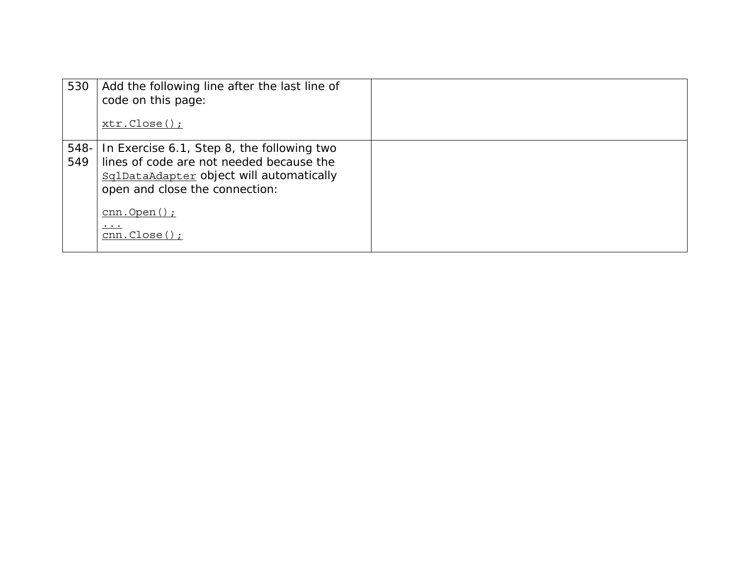| 530         | Add the following line after the last line of<br>code on this page:<br>$xtr.Close()$ ;                                                                                                                                         |  |
|-------------|--------------------------------------------------------------------------------------------------------------------------------------------------------------------------------------------------------------------------------|--|
| 548-<br>549 | In Exercise 6.1, Step 8, the following two<br>lines of code are not needed because the<br>SqlDataAdapter object will automatically<br>open and close the connection:<br>$cnn.Open()$ ;<br>$\cdot\cdot\cdot$<br>$cnn.Close()$ ; |  |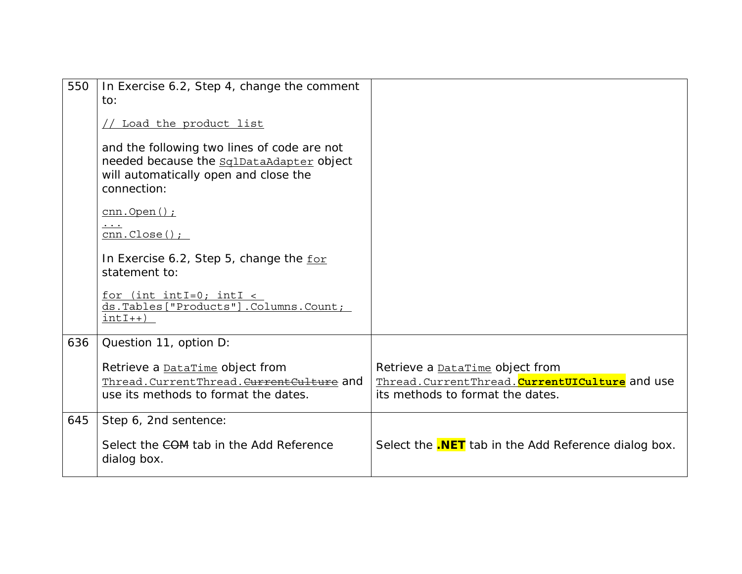| 550 | In Exercise 6.2, Step 4, change the comment<br>to:                                                                                              |                                                                                                                                 |
|-----|-------------------------------------------------------------------------------------------------------------------------------------------------|---------------------------------------------------------------------------------------------------------------------------------|
|     | Load the product list                                                                                                                           |                                                                                                                                 |
|     | and the following two lines of code are not<br>needed because the sqlDataAdapter object<br>will automatically open and close the<br>connection: |                                                                                                                                 |
|     | $cnn.Open()$ ;<br>$\cdot$<br>$cnn.Close()$ ;                                                                                                    |                                                                                                                                 |
|     | In Exercise 6.2, Step 5, change the for<br>statement to:                                                                                        |                                                                                                                                 |
|     | $for$ (int intI=0; intI <<br>ds.Tables["Products"].Columns.Count;<br>$intI++)$                                                                  |                                                                                                                                 |
| 636 | Question 11, option D:                                                                                                                          |                                                                                                                                 |
|     | Retrieve a <b>DataTime</b> object from<br>Thread. CurrentThread. CurrentCulture and<br>use its methods to format the dates.                     | Retrieve a <b>DataTime</b> object from<br>Thread. Current Thread. Current UICulture and use<br>its methods to format the dates. |
| 645 | Step 6, 2nd sentence:                                                                                                                           |                                                                                                                                 |
|     | Select the COM tab in the Add Reference<br>dialog box.                                                                                          | Select the <b>.NET</b> tab in the Add Reference dialog box.                                                                     |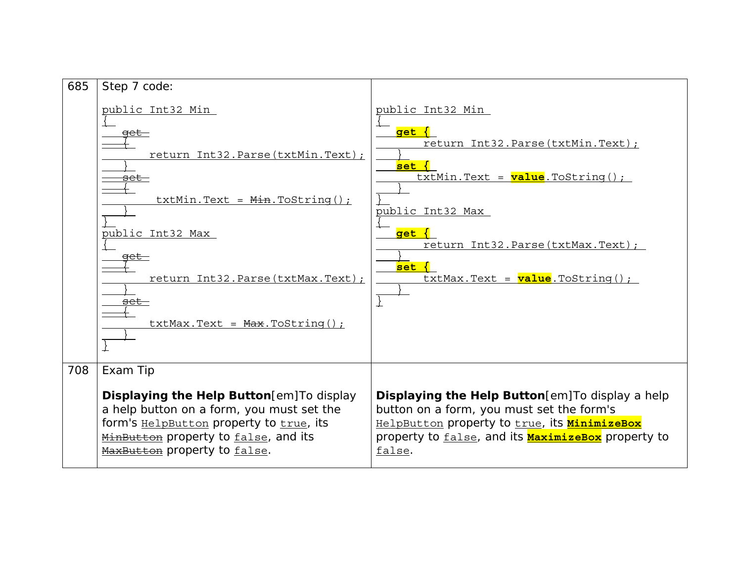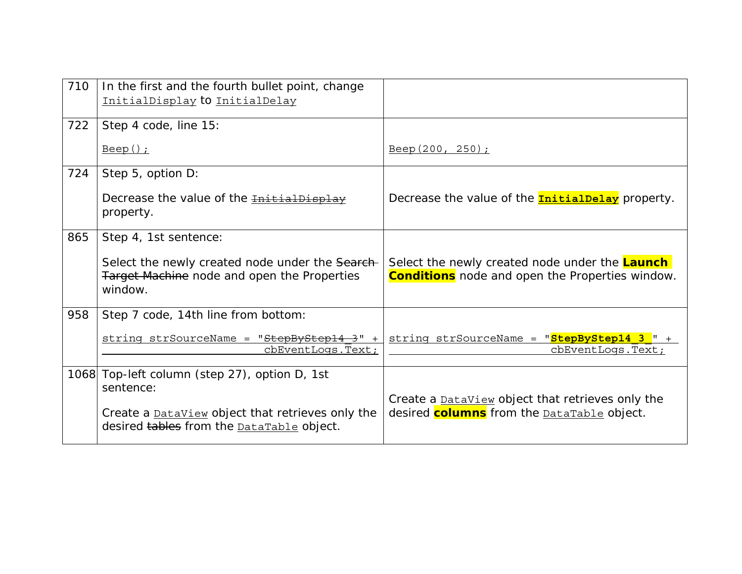| 710 | In the first and the fourth bullet point, change<br>InitialDisplay to InitialDelay                                    |                                                                                                                     |
|-----|-----------------------------------------------------------------------------------------------------------------------|---------------------------------------------------------------------------------------------------------------------|
| 722 | Step 4 code, line 15:                                                                                                 |                                                                                                                     |
|     | <u>Beep();</u>                                                                                                        | $Beep(200, 250)$ ;                                                                                                  |
| 724 | Step 5, option D:                                                                                                     |                                                                                                                     |
|     | Decrease the value of the InitialDispl<br>property.                                                                   | Decrease the value of the <b>InitialDelay</b> property.                                                             |
| 865 | Step 4, 1st sentence:                                                                                                 |                                                                                                                     |
|     | Select the newly created node under the Search-<br><b>Target Machine node and open the Properties</b><br>window.      | Select the newly created node under the Launch<br><b>Conditions</b> node and open the Properties window.            |
| 958 | Step 7 code, 14th line from bottom:                                                                                   |                                                                                                                     |
|     | string strSourceName = "StepByStep14 3" +<br>cbEventLogs. Text;                                                       | string strSourceName = "StepByStep14 3 " +<br>cbEventLogs. Text;                                                    |
|     | 1068 Top-left column (step 27), option D, 1st<br>sentence:<br>Create a <b>DataView</b> object that retrieves only the | Create a <b>DataView</b> object that retrieves only the<br>desired <b>columns</b> from the <b>DataTable</b> object. |
|     | desired tables from the <b>DataTable</b> object.                                                                      |                                                                                                                     |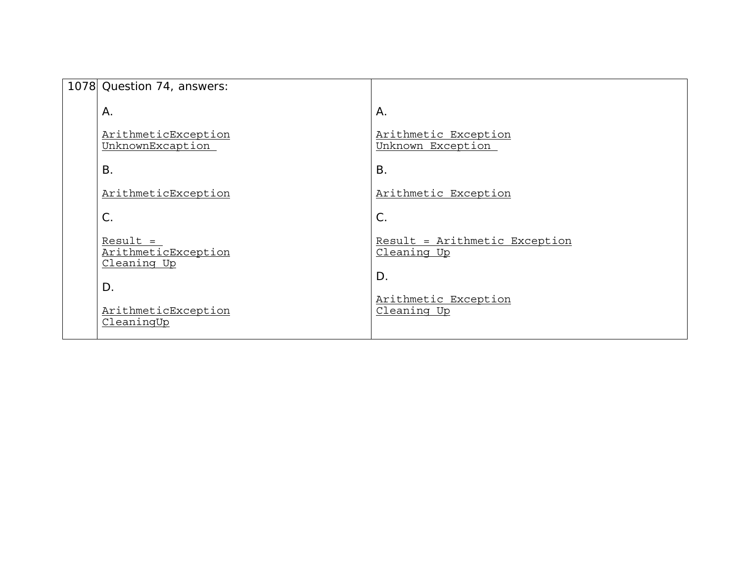| 1078 Question 74, answers:                       |                                              |
|--------------------------------------------------|----------------------------------------------|
| Α.                                               | Α.                                           |
| ArithmeticException<br>UnknownExcaption          | Arithmetic Exception<br>Unknown Exception    |
| <b>B.</b>                                        | <b>B.</b>                                    |
| ArithmeticException                              | Arithmetic Exception                         |
| $\mathsf{C}$ .                                   | $C$ .                                        |
| $Result =$<br>ArithmeticException<br>Cleaning Up | Result = Arithmetic Exception<br>Cleaning Up |
| D.                                               | $D$ .                                        |
| ArithmeticException<br>CleaningUp                | Arithmetic Exception<br>Cleaning Up          |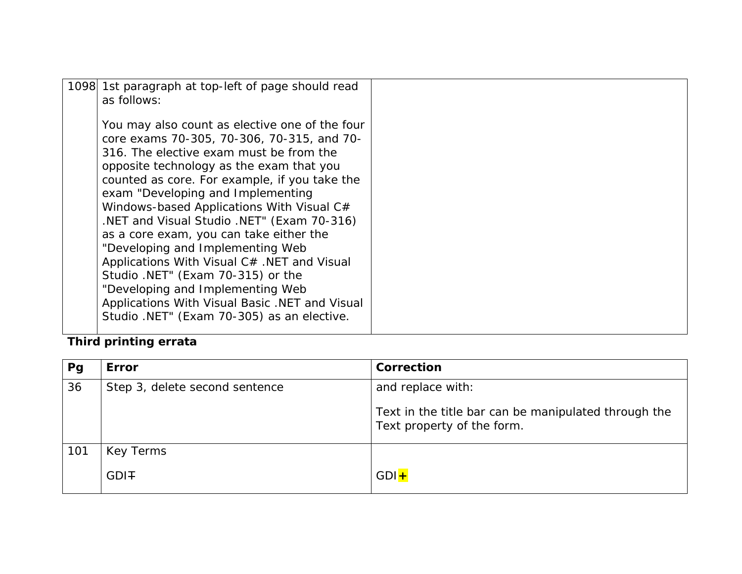| 1098 1st paragraph at top-left of page should read<br>as follows:                                                                                                                                                                                                                                                                                                                                                                                                                                                                                                                                                                                                           |  |
|-----------------------------------------------------------------------------------------------------------------------------------------------------------------------------------------------------------------------------------------------------------------------------------------------------------------------------------------------------------------------------------------------------------------------------------------------------------------------------------------------------------------------------------------------------------------------------------------------------------------------------------------------------------------------------|--|
| You may also count as elective one of the four<br>core exams 70-305, 70-306, 70-315, and 70-<br>316. The elective exam must be from the<br>opposite technology as the exam that you<br>counted as core. For example, if you take the<br>exam "Developing and Implementing<br>Windows-based Applications With Visual C#<br>.NET and Visual Studio .NET" (Exam 70-316)<br>as a core exam, you can take either the<br>"Developing and Implementing Web<br>Applications With Visual C# .NET and Visual<br>Studio .NET" (Exam 70-315) or the<br>"Developing and Implementing Web<br>Applications With Visual Basic .NET and Visual<br>Studio .NET" (Exam 70-305) as an elective. |  |
|                                                                                                                                                                                                                                                                                                                                                                                                                                                                                                                                                                                                                                                                             |  |

# **Third printing errata**

| Pg  | <b>Error</b>                   | Correction                                                                         |
|-----|--------------------------------|------------------------------------------------------------------------------------|
| 36  | Step 3, delete second sentence | and replace with:                                                                  |
|     |                                | Text in the title bar can be manipulated through the<br>Text property of the form. |
| 101 | Key Terms                      |                                                                                    |
|     | GDI <sub>T</sub>               | $GDI +$                                                                            |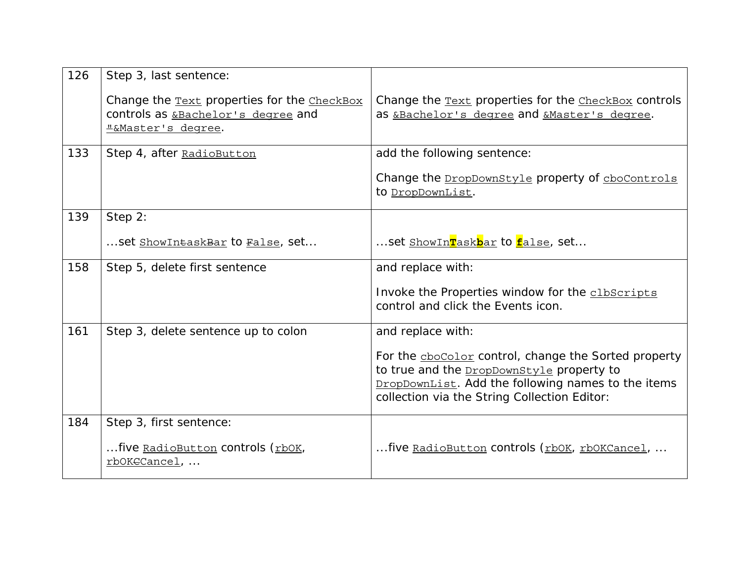| 126 | Step 3, last sentence:                                                                                                |                                                                                                                                                                                                                |
|-----|-----------------------------------------------------------------------------------------------------------------------|----------------------------------------------------------------------------------------------------------------------------------------------------------------------------------------------------------------|
|     | Change the <b>Text</b> properties for the <b>CheckBox</b><br>controls as &Bachelor's degree and<br>L&Master's degree. | Change the <b>Text</b> properties for the <b>CheckBox</b> controls<br>as &Bachelor's degree and &Master's degree.                                                                                              |
| 133 | Step 4, after RadioButton                                                                                             | add the following sentence:                                                                                                                                                                                    |
|     |                                                                                                                       | Change the DropDownStyle property of cboControls<br>to DropDownList.                                                                                                                                           |
| 139 | Step 2:                                                                                                               |                                                                                                                                                                                                                |
|     | set ShowIntaskBar to False, set                                                                                       | set <u>ShowIn<mark>T</mark>ask<mark>b</mark>ar</u> to <u>false</u> , set                                                                                                                                       |
| 158 | Step 5, delete first sentence                                                                                         | and replace with:                                                                                                                                                                                              |
|     |                                                                                                                       | Invoke the Properties window for the clbscripts<br>control and click the Events icon.                                                                                                                          |
| 161 | Step 3, delete sentence up to colon                                                                                   | and replace with:                                                                                                                                                                                              |
|     |                                                                                                                       | For the chocolor control, change the Sorted property<br>to true and the <b>DropDownStyle</b> property to<br>DropDownList. Add the following names to the items<br>collection via the String Collection Editor: |
| 184 | Step 3, first sentence:                                                                                               |                                                                                                                                                                                                                |
|     | five RadioButton controls (rbOK,<br>rbOKECancel,                                                                      | five RadioButton controls (rbOK, rbOKCancel,                                                                                                                                                                   |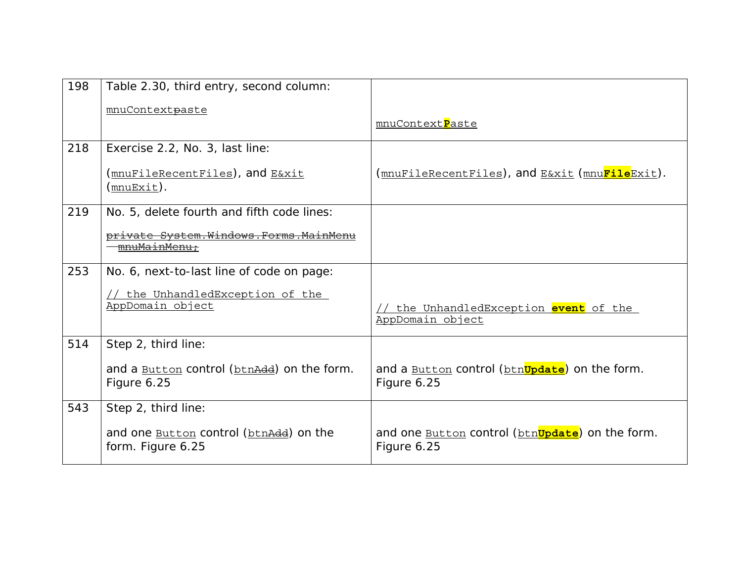| 198 | Table 2.30, third entry, second column:                                   |                                                                                |
|-----|---------------------------------------------------------------------------|--------------------------------------------------------------------------------|
|     | mnuContextpaste                                                           |                                                                                |
|     |                                                                           | mnuContextPaste                                                                |
| 218 | Exercise 2.2, No. 3, last line:                                           |                                                                                |
|     | <u>(mnuFileRecentFiles</u> ), and <u>E&amp;xit</u><br>( <u>mnuExit</u> ). | (mnuFileRecentFiles), and E&xit (mnu <mark>File</mark> Exit).                  |
| 219 | No. 5, delete fourth and fifth code lines:                                |                                                                                |
|     | private System.Windows.Forms.MainMenu<br><del>mnuMainMenu:</del>          |                                                                                |
| 253 | No. 6, next-to-last line of code on page:                                 |                                                                                |
|     | // the UnhandledException of the<br>AppDomain object                      | the UnhandledException event of the<br>AppDomain object                        |
| 514 | Step 2, third line:                                                       |                                                                                |
|     | and a <b>Button</b> control ( <b>btn</b> Add) on the form.<br>Figure 6.25 | and a <b>Button</b> control (btn <b>Update</b> ) on the form.<br>Figure 6.25   |
| 543 | Step 2, third line:                                                       |                                                                                |
|     | and one <b>Button</b> control (btnAdd) on the<br>form. Figure 6.25        | and one <b>Button</b> control (btn <b>Update</b> ) on the form.<br>Figure 6.25 |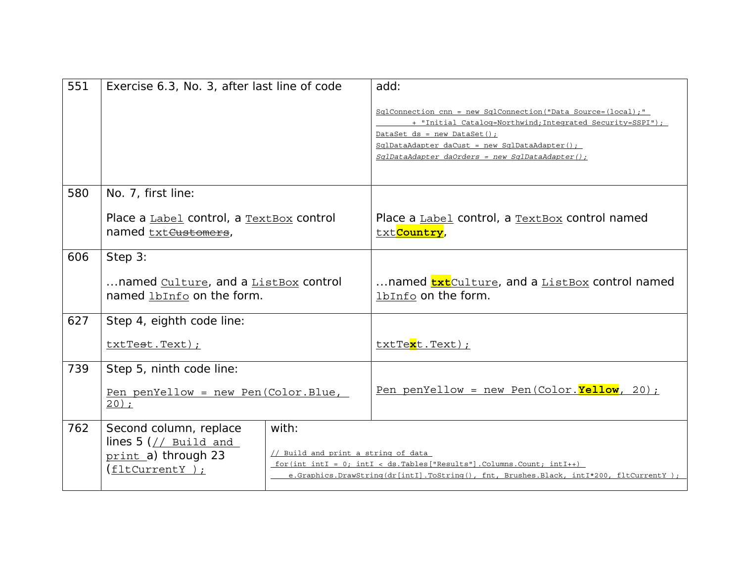| 551 | Exercise 6.3, No. 3, after last line of code                                                                                                 |  | add:                                                                                                                                                                                                                                                                     |
|-----|----------------------------------------------------------------------------------------------------------------------------------------------|--|--------------------------------------------------------------------------------------------------------------------------------------------------------------------------------------------------------------------------------------------------------------------------|
|     |                                                                                                                                              |  | SqlConnection cnn = new SqlConnection ("Data Source=(local);"<br>+ "Initial Catalog=Northwind; Integrated Security=SSPI");<br>DataSet $ds = new Database()$ ;<br>$SqlDataAdapter$ daCust = new SqlDataAdapter();<br>$Sq1DataAdapter$ daOrders = new $Sq1DataAdapter()$ ; |
| 580 | No. 7, first line:                                                                                                                           |  |                                                                                                                                                                                                                                                                          |
|     | Place a Label control, a TextBox control<br>named txt <del>Customers</del> ,                                                                 |  | Place a Label control, a TextBox control named<br>txt <mark>Country</mark> ,                                                                                                                                                                                             |
| 606 | Step 3:                                                                                                                                      |  |                                                                                                                                                                                                                                                                          |
|     | named Culture, and a ListBox control<br>named lbInfo on the form.                                                                            |  | named <b>txt</b> Culture, and a ListBox control named<br>1bInfo on the form.                                                                                                                                                                                             |
| 627 | Step 4, eighth code line:                                                                                                                    |  |                                                                                                                                                                                                                                                                          |
|     | txtTest.Text);                                                                                                                               |  | txtText.Text);                                                                                                                                                                                                                                                           |
| 739 | Step 5, ninth code line:                                                                                                                     |  |                                                                                                                                                                                                                                                                          |
|     | Pen penYellow = new Pen(Color.Blue,<br>20;                                                                                                   |  | Pen penYellow = new Pen(Color. $Yelllow$ , 20);                                                                                                                                                                                                                          |
| 762 | with:<br>Second column, replace<br>lines $5$ (// Build and<br>// Build and print a string of data<br>print a) through 23<br>$(fltCurrent)$ ; |  | for (int intI = $0$ ; intI < ds. Tables ["Results"]. Columns. Count; intI++)<br>e.Graphics.DrawString(dr[intI].ToString(), fnt, Brushes.Black, intI*200, fltCurrentY);                                                                                                   |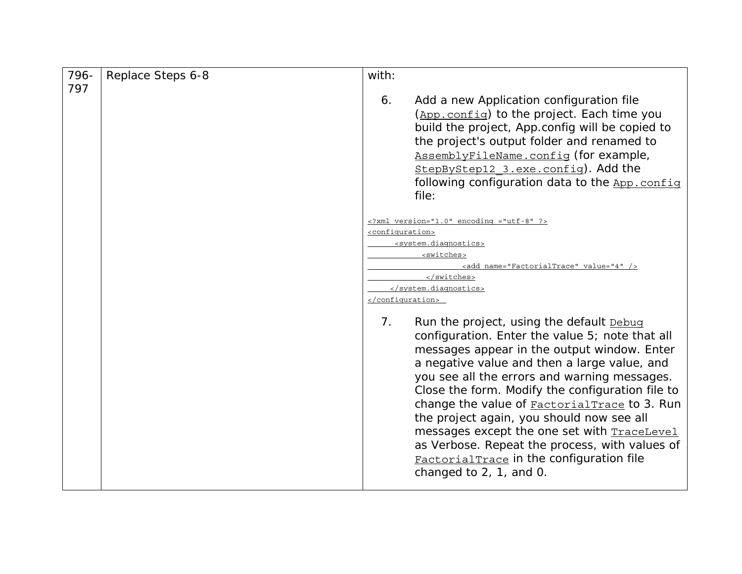| 796- | Replace Steps 6-8 | with:                                                                                                                                                                                                                                                                                                                                                                                                                                                                                                                                                                                        |
|------|-------------------|----------------------------------------------------------------------------------------------------------------------------------------------------------------------------------------------------------------------------------------------------------------------------------------------------------------------------------------------------------------------------------------------------------------------------------------------------------------------------------------------------------------------------------------------------------------------------------------------|
| 797  |                   | Add a new Application configuration file<br>6.<br>(App. config) to the project. Each time you<br>build the project, App.config will be copied to<br>the project's output folder and renamed to<br>AssemblyFileName.config (for example,<br>StepByStep12 3.exe.config). Add the<br>following configuration data to the App. config<br>file:                                                                                                                                                                                                                                                   |
|      |                   | $\leq$ ?xml version="1.0" encoding ="utf-8" ?><br><configuration><br/><system.diagnostics><br/><switches><br/><add name="FactorialTrace" value="4"></add><br/></switches><br/></system.diagnostics><br/></configuration>                                                                                                                                                                                                                                                                                                                                                                     |
|      |                   | 7 <sub>1</sub><br>Run the project, using the default Debug<br>configuration. Enter the value 5; note that all<br>messages appear in the output window. Enter<br>a negative value and then a large value, and<br>you see all the errors and warning messages.<br>Close the form. Modify the configuration file to<br>change the value of <b>FactorialTrace</b> to 3. Run<br>the project again, you should now see all<br>messages except the one set with TraceLevel<br>as Verbose. Repeat the process, with values of<br>FactorialTrace in the configuration file<br>changed to 2, 1, and 0. |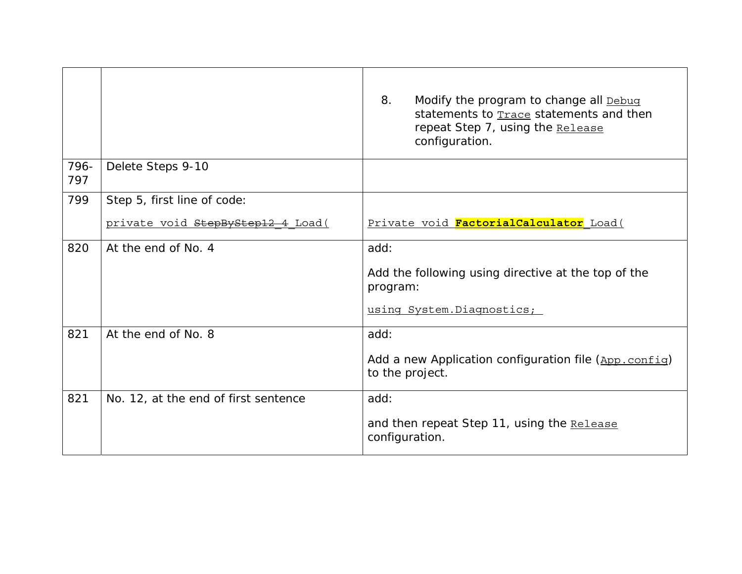|             |                                      | 8.<br>Modify the program to change all Debug<br>statements to <b>Trace</b> statements and then<br>repeat Step 7, using the Release<br>configuration. |
|-------------|--------------------------------------|------------------------------------------------------------------------------------------------------------------------------------------------------|
| 796-<br>797 | Delete Steps 9-10                    |                                                                                                                                                      |
| 799         | Step 5, first line of code:          |                                                                                                                                                      |
|             | private void StepByStep12 4 Load (   | Private void FactorialCalculator Load (                                                                                                              |
| 820         | At the end of No. 4                  | add:                                                                                                                                                 |
|             |                                      | Add the following using directive at the top of the<br>program:                                                                                      |
|             |                                      | using System. Diagnostics;                                                                                                                           |
| 821         | At the end of No. 8                  | add:                                                                                                                                                 |
|             |                                      | Add a new Application configuration file (App. confiq)<br>to the project.                                                                            |
| 821         | No. 12, at the end of first sentence | add:                                                                                                                                                 |
|             |                                      | and then repeat Step 11, using the Release<br>configuration.                                                                                         |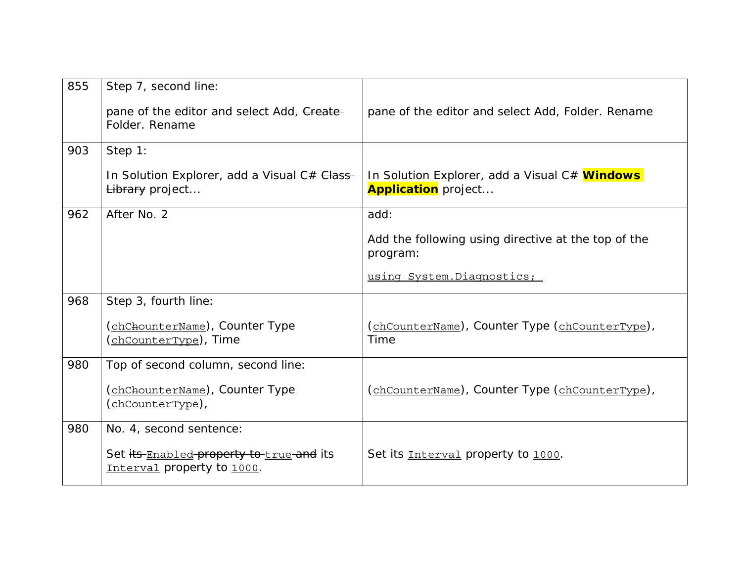| 855 | Step 7, second line:<br>pane of the editor and select Add, Create-<br>Folder, Rename | pane of the editor and select Add, Folder. Rename                                  |
|-----|--------------------------------------------------------------------------------------|------------------------------------------------------------------------------------|
| 903 | Step 1:                                                                              |                                                                                    |
|     | In Solution Explorer, add a Visual C# Class-<br>Library project                      | In Solution Explorer, add a Visual C# <b>Windows</b><br><b>Application</b> project |
| 962 | After No. 2                                                                          | add:                                                                               |
|     |                                                                                      | Add the following using directive at the top of the<br>program:                    |
|     |                                                                                      | using System. Diagnostics;                                                         |
| 968 | Step 3, fourth line:                                                                 |                                                                                    |
|     | (chChounterName), Counter Type<br><u>(chCounterType</u> ), Time                      | (chCounterName), Counter Type (chCounterType),<br>Time                             |
| 980 | Top of second column, second line:                                                   |                                                                                    |
|     | (chChounterName), Counter Type<br>(chCounterType),                                   | (chCounterName), Counter Type (chCounterType),                                     |
| 980 | No. 4, second sentence:                                                              |                                                                                    |
|     | Set its <b>Enabled property to <i>Erue</i></b> and its<br>Interval property to 1000. | Set its Interval property to 1000.                                                 |